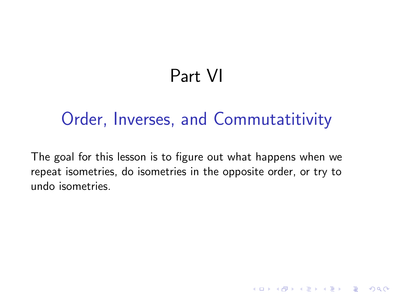# Part VI

## Order, Inverses, and Commutatitivity

The goal for this lesson is to figure out what happens when we repeat isometries, do isometries in the opposite order, or try to undo isometries.

**KORKA SERKER ORA**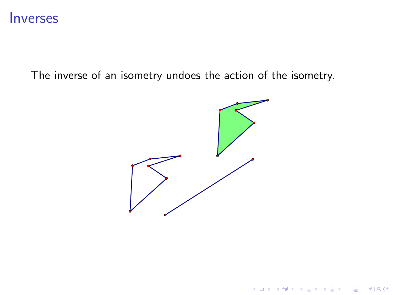#### Inverses

The inverse of an isometry undoes the action of the isometry.



K ロ X イロ X K ミ X K ミ X ミ X Y Q Q Q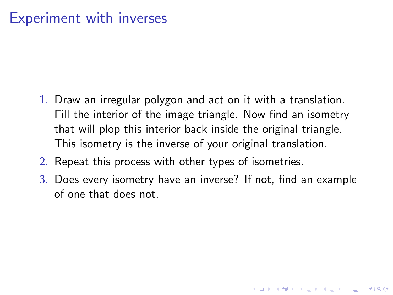### Experiment with inverses

- 1. Draw an irregular polygon and act on it with a translation. Fill the interior of the image triangle. Now find an isometry that will plop this interior back inside the original triangle. This isometry is the inverse of your original translation.
- 2. Repeat this process with other types of isometries.
- 3. Does every isometry have an inverse? If not, find an example of one that does not.

**KORKAR KERKER E VOOR**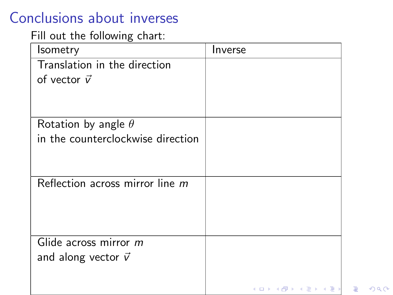### Conclusions about inverses

#### Fill out the following chart:

| <b>Isometry</b>                   | Inverse        |
|-----------------------------------|----------------|
| Translation in the direction      |                |
| of vector $\vec{v}$               |                |
|                                   |                |
|                                   |                |
| Rotation by angle $\theta$        |                |
| in the counterclockwise direction |                |
|                                   |                |
|                                   |                |
| Reflection across mirror line $m$ |                |
|                                   |                |
|                                   |                |
|                                   |                |
| Glide across mirror m             |                |
| and along vector $\vec{v}$        |                |
|                                   |                |
|                                   | イロト イ部 トイ君 トイ君 |

 $2990$ 

目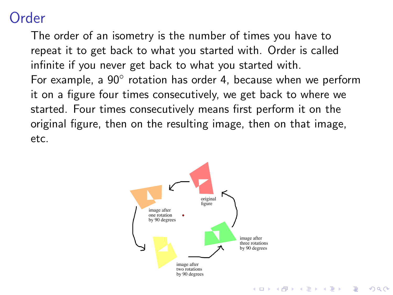#### Order

The order of an isometry is the number of times you have to repeat it to get back to what you started with. Order is called infinite if you never get back to what you started with. For example, a  $90^{\circ}$  rotation has order 4, because when we perform it on a figure four times consecutively, we get back to where we started. Four times consecutively means first perform it on the original figure, then on the resulting image, then on that image, etc.

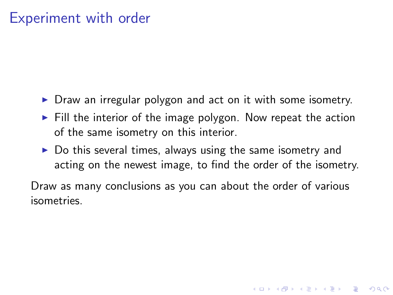#### Experiment with order

- $\triangleright$  Draw an irregular polygon and act on it with some isometry.
- $\triangleright$  Fill the interior of the image polygon. Now repeat the action of the same isometry on this interior.
- $\triangleright$  Do this several times, always using the same isometry and acting on the newest image, to find the order of the isometry.

**K ロ ▶ K @ ▶ K 할 X X 할 X → 할 X → 9 Q Q ^** 

Draw as many conclusions as you can about the order of various isometries.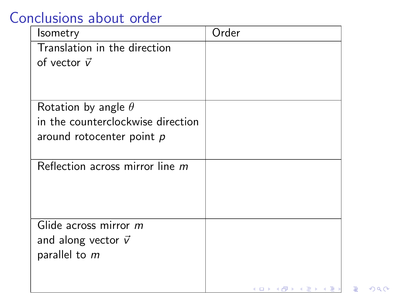### Conclusions about order

| Isometry                          | Order                                                                                                                                                                                                                                                                                                                                                                                                                                                                                            |
|-----------------------------------|--------------------------------------------------------------------------------------------------------------------------------------------------------------------------------------------------------------------------------------------------------------------------------------------------------------------------------------------------------------------------------------------------------------------------------------------------------------------------------------------------|
| Translation in the direction      |                                                                                                                                                                                                                                                                                                                                                                                                                                                                                                  |
| of vector $\vec{v}$               |                                                                                                                                                                                                                                                                                                                                                                                                                                                                                                  |
|                                   |                                                                                                                                                                                                                                                                                                                                                                                                                                                                                                  |
|                                   |                                                                                                                                                                                                                                                                                                                                                                                                                                                                                                  |
| Rotation by angle $\theta$        |                                                                                                                                                                                                                                                                                                                                                                                                                                                                                                  |
| in the counterclockwise direction |                                                                                                                                                                                                                                                                                                                                                                                                                                                                                                  |
| around rotocenter point $p$       |                                                                                                                                                                                                                                                                                                                                                                                                                                                                                                  |
|                                   |                                                                                                                                                                                                                                                                                                                                                                                                                                                                                                  |
| Reflection across mirror line m   |                                                                                                                                                                                                                                                                                                                                                                                                                                                                                                  |
|                                   |                                                                                                                                                                                                                                                                                                                                                                                                                                                                                                  |
|                                   |                                                                                                                                                                                                                                                                                                                                                                                                                                                                                                  |
|                                   |                                                                                                                                                                                                                                                                                                                                                                                                                                                                                                  |
| Glide across mirror m             |                                                                                                                                                                                                                                                                                                                                                                                                                                                                                                  |
| and along vector $\vec{v}$        |                                                                                                                                                                                                                                                                                                                                                                                                                                                                                                  |
| parallel to m                     |                                                                                                                                                                                                                                                                                                                                                                                                                                                                                                  |
|                                   |                                                                                                                                                                                                                                                                                                                                                                                                                                                                                                  |
|                                   | $\leftarrow$ $\leftarrow$ $\leftarrow$ $\leftarrow$ $\leftarrow$ $\leftarrow$ $\leftarrow$ $\leftarrow$ $\leftarrow$ $\leftarrow$ $\leftarrow$ $\leftarrow$ $\leftarrow$ $\leftarrow$ $\leftarrow$ $\leftarrow$ $\leftarrow$ $\leftarrow$ $\leftarrow$ $\leftarrow$ $\leftarrow$ $\leftarrow$ $\leftarrow$ $\leftarrow$ $\leftarrow$ $\leftarrow$ $\leftarrow$ $\leftarrow$ $\leftarrow$ $\leftarrow$ $\leftarrow$ $\leftarrow$ $\leftarrow$ $\leftarrow$ $\leftarrow$ $\leftarrow$ $\leftarrow$ |

 $QQQ$ 

目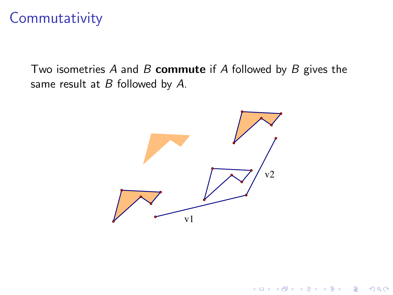#### **Commutativity**

Two isometries *A* and *B* commute if *A* followed by *B* gives the same result at *B* followed by *A*.



K ロ ▶ K @ ▶ K 할 ▶ K 할 ▶ 이 할 → 9 Q @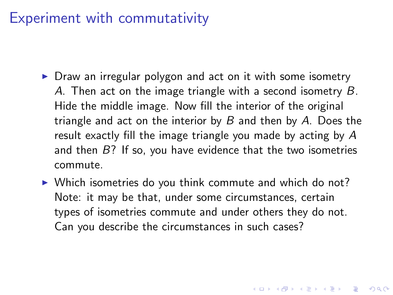#### Experiment with commutativity

- $\triangleright$  Draw an irregular polygon and act on it with some isometry *A*. Then act on the image triangle with a second isometry *B*. Hide the middle image. Now fill the interior of the original triangle and act on the interior by *B* and then by *A*. Does the result exactly fill the image triangle you made by acting by *A* and then *B*? If so, you have evidence that the two isometries commute.
- $\triangleright$  Which isometries do you think commute and which do not? Note: it may be that, under some circumstances, certain types of isometries commute and under others they do not. Can you describe the circumstances in such cases?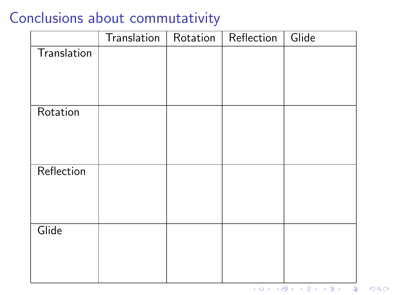#### Conclusions about commutativity

|             | Translation | Rotation | Reflection | Glide |
|-------------|-------------|----------|------------|-------|
| Translation |             |          |            |       |
|             |             |          |            |       |
|             |             |          |            |       |
|             |             |          |            |       |
| Rotation    |             |          |            |       |
|             |             |          |            |       |
|             |             |          |            |       |
|             |             |          |            |       |
| Reflection  |             |          |            |       |
|             |             |          |            |       |
|             |             |          |            |       |
| Glide       |             |          |            |       |
|             |             |          |            |       |
|             |             |          |            |       |
|             |             |          |            |       |
|             |             |          |            |       |